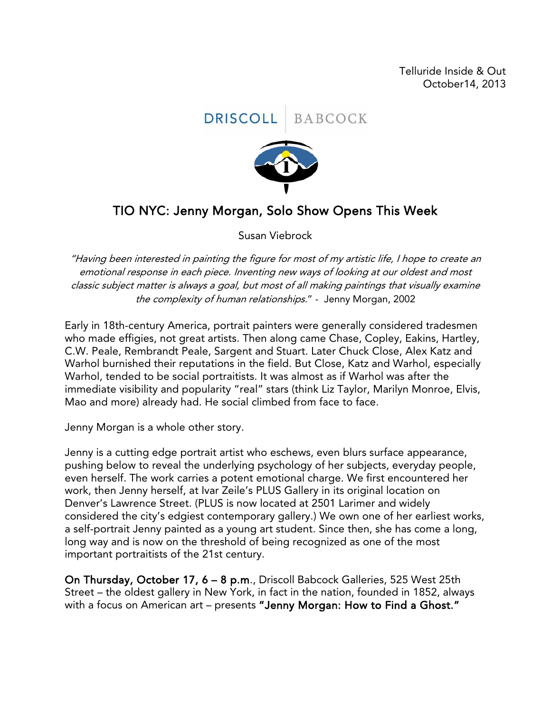Telluride Inside & Out October14, 2013



## TIO NYC: Jenny Morgan, Solo Show Opens This Week

Susan Viebrock

"Having been interested in painting the figure for most of my artistic life, I hope to create an emotional response in each piece. Inventing new ways of looking at our oldest and most classic subject matter is always a goal, but most of all making paintings that visually examine the complexity of human relationships." - Jenny Morgan, 2002

Early in 18th-century America, portrait painters were generally considered tradesmen who made effigies, not great artists. Then along came Chase, Copley, Eakins, Hartley, C.W. Peale, Rembrandt Peale, Sargent and Stuart. Later Chuck Close, Alex Katz and Warhol burnished their reputations in the field. But Close, Katz and Warhol, especially Warhol, tended to be social portraitists. It was almost as if Warhol was after the immediate visibility and popularity "real" stars (think Liz Taylor, Marilyn Monroe, Elvis, Mao and more) already had. He social climbed from face to face.

Jenny Morgan is a whole other story.

Jenny is a cutting edge portrait artist who eschews, even blurs surface appearance, pushing below to reveal the underlying psychology of her subjects, everyday people, even herself. The work carries a potent emotional charge. We first encountered her work, then Jenny herself, at Ivar Zeile's PLUS Gallery in its original location on Denver's Lawrence Street. (PLUS is now located at 2501 Larimer and widely considered the city's edgiest contemporary gallery.) We own one of her earliest works, a self-portrait Jenny painted as a young art student. Since then, she has come a long, long way and is now on the threshold of being recognized as one of the most important portraitists of the 21st century.

On Thursday, October 17, 6 – 8 p.m., Driscoll Babcock Galleries, 525 West 25th Street – the oldest gallery in New York, in fact in the nation, founded in 1852, always with a focus on American art – presents "Jenny Morgan: How to Find a Ghost."